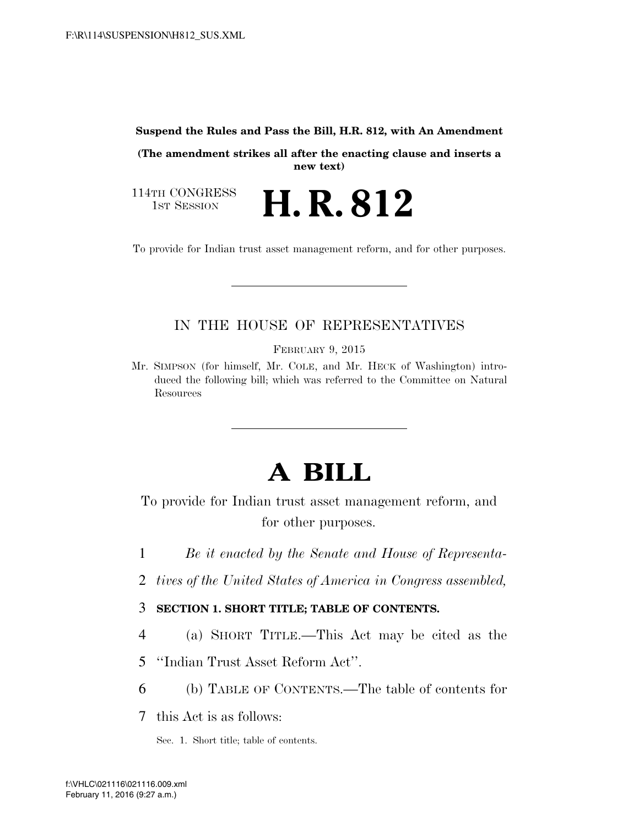#### **Suspend the Rules and Pass the Bill, H.R. 812, with An Amendment**

**(The amendment strikes all after the enacting clause and inserts a new text)** 

H. R. 812

114TH CONGRESS<br>1st Session

To provide for Indian trust asset management reform, and for other purposes.

# IN THE HOUSE OF REPRESENTATIVES

FEBRUARY 9, 2015

Mr. SIMPSON (for himself, Mr. COLE, and Mr. HECK of Washington) introduced the following bill; which was referred to the Committee on Natural Resources

# **A BILL**

To provide for Indian trust asset management reform, and for other purposes.

- 1 *Be it enacted by the Senate and House of Representa-*
- 2 *tives of the United States of America in Congress assembled,*
- 3 **SECTION 1. SHORT TITLE; TABLE OF CONTENTS.**
- 4 (a) SHORT TITLE.—This Act may be cited as the
- 5 ''Indian Trust Asset Reform Act''.
- 6 (b) TABLE OF CONTENTS.—The table of contents for

7 this Act is as follows:

Sec. 1. Short title; table of contents.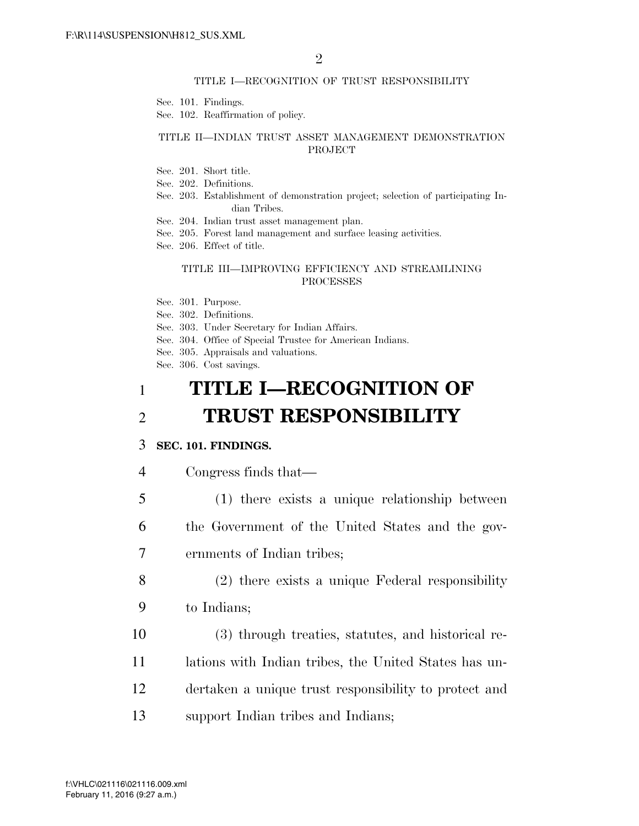#### TITLE I—RECOGNITION OF TRUST RESPONSIBILITY

Sec. 101. Findings.

Sec. 102. Reaffirmation of policy.

### TITLE II—INDIAN TRUST ASSET MANAGEMENT DEMONSTRATION PROJECT

Sec. 201. Short title.

Sec. 202. Definitions.

- Sec. 203. Establishment of demonstration project; selection of participating Indian Tribes.
- Sec. 204. Indian trust asset management plan.
- Sec. 205. Forest land management and surface leasing activities.
- Sec. 206. Effect of title.

#### TITLE III—IMPROVING EFFICIENCY AND STREAMLINING PROCESSES

- Sec. 301. Purpose.
- Sec. 302. Definitions.
- Sec. 303. Under Secretary for Indian Affairs.
- Sec. 304. Office of Special Trustee for American Indians.
- Sec. 305. Appraisals and valuations.

Sec. 306. Cost savings.

# 1 **TITLE I—RECOGNITION OF**  2 **TRUST RESPONSIBILITY**

### 3 **SEC. 101. FINDINGS.**

- 4 Congress finds that—
- 5 (1) there exists a unique relationship between 6 the Government of the United States and the gov-7 ernments of Indian tribes;
- 8 (2) there exists a unique Federal responsibility 9 to Indians;
- 10 (3) through treaties, statutes, and historical re-11 lations with Indian tribes, the United States has un-12 dertaken a unique trust responsibility to protect and 13 support Indian tribes and Indians;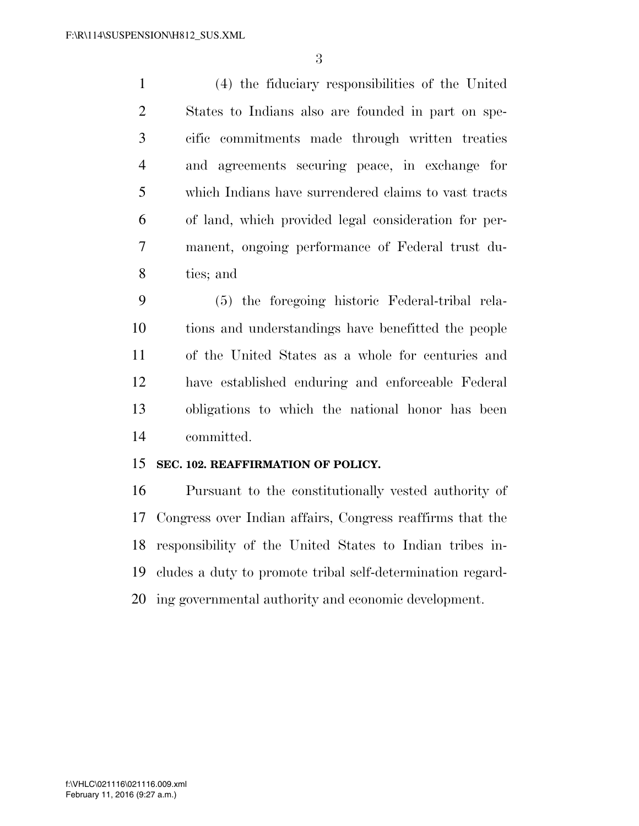(4) the fiduciary responsibilities of the United States to Indians also are founded in part on spe- cific commitments made through written treaties and agreements securing peace, in exchange for which Indians have surrendered claims to vast tracts of land, which provided legal consideration for per- manent, ongoing performance of Federal trust du-ties; and

 (5) the foregoing historic Federal-tribal rela- tions and understandings have benefitted the people of the United States as a whole for centuries and have established enduring and enforceable Federal obligations to which the national honor has been committed.

## **SEC. 102. REAFFIRMATION OF POLICY.**

 Pursuant to the constitutionally vested authority of Congress over Indian affairs, Congress reaffirms that the responsibility of the United States to Indian tribes in- cludes a duty to promote tribal self-determination regard-ing governmental authority and economic development.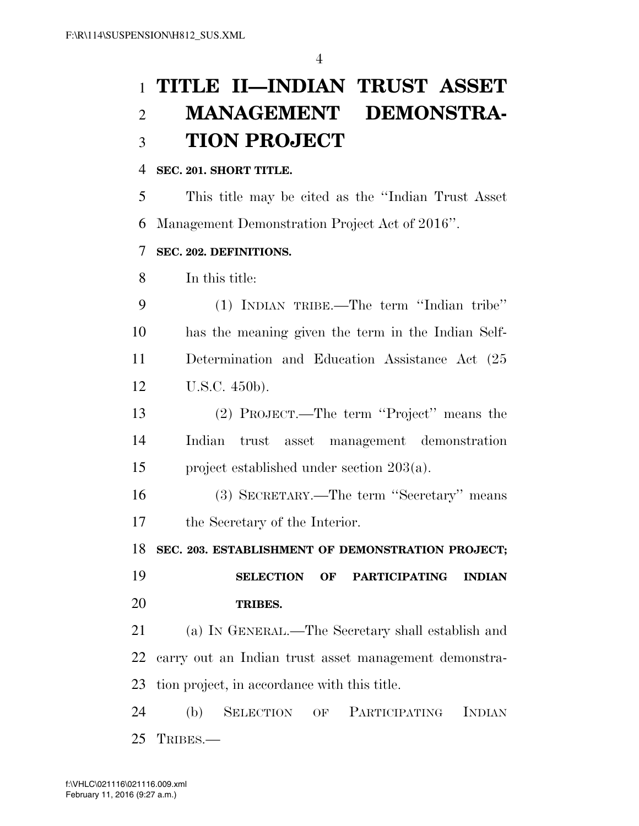# **TITLE II—INDIAN TRUST ASSET MANAGEMENT DEMONSTRA-TION PROJECT**

### **SEC. 201. SHORT TITLE.**

 This title may be cited as the ''Indian Trust Asset Management Demonstration Project Act of 2016''.

### **SEC. 202. DEFINITIONS.**

In this title:

 (1) INDIAN TRIBE.—The term ''Indian tribe'' has the meaning given the term in the Indian Self- Determination and Education Assistance Act (25 U.S.C. 450b).

 (2) PROJECT.—The term ''Project'' means the Indian trust asset management demonstration project established under section 203(a).

 (3) SECRETARY.—The term ''Secretary'' means the Secretary of the Interior.

**SEC. 203. ESTABLISHMENT OF DEMONSTRATION PROJECT;** 

 **SELECTION OF PARTICIPATING INDIAN TRIBES.** 

 (a) IN GENERAL.—The Secretary shall establish and carry out an Indian trust asset management demonstra-tion project, in accordance with this title.

 (b) SELECTION OF PARTICIPATING INDIAN TRIBES.—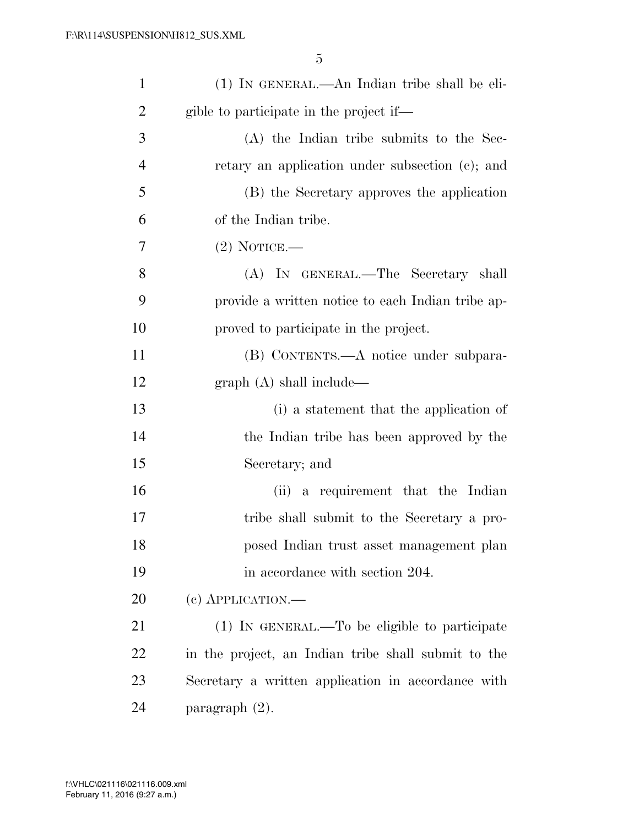| $\mathbf{1}$   | (1) IN GENERAL.—An Indian tribe shall be eli-       |
|----------------|-----------------------------------------------------|
| $\overline{2}$ | gible to participate in the project if—             |
| 3              | (A) the Indian tribe submits to the Sec-            |
| $\overline{4}$ | retary an application under subsection (c); and     |
| 5              | (B) the Secretary approves the application          |
| 6              | of the Indian tribe.                                |
| 7              | $(2)$ NOTICE.—                                      |
| 8              | (A) IN GENERAL.—The Secretary shall                 |
| 9              | provide a written notice to each Indian tribe ap-   |
| 10             | proved to participate in the project.               |
| 11             | (B) CONTENTS.—A notice under subpara-               |
| 12             | graph(A) shall include—                             |
| 13             | (i) a statement that the application of             |
| 14             | the Indian tribe has been approved by the           |
| 15             | Secretary; and                                      |
| 16             | (ii) a requirement that the Indian                  |
| 17             | tribe shall submit to the Secretary a pro-          |
| 18             | posed Indian trust asset management plan            |
| 19             | in accordance with section 204.                     |
| 20             | $(e)$ APPLICATION.—                                 |
| 21             | (1) IN GENERAL.—To be eligible to participate       |
| 22             | in the project, an Indian tribe shall submit to the |
| 23             | Secretary a written application in accordance with  |
| 24             | paragraph (2).                                      |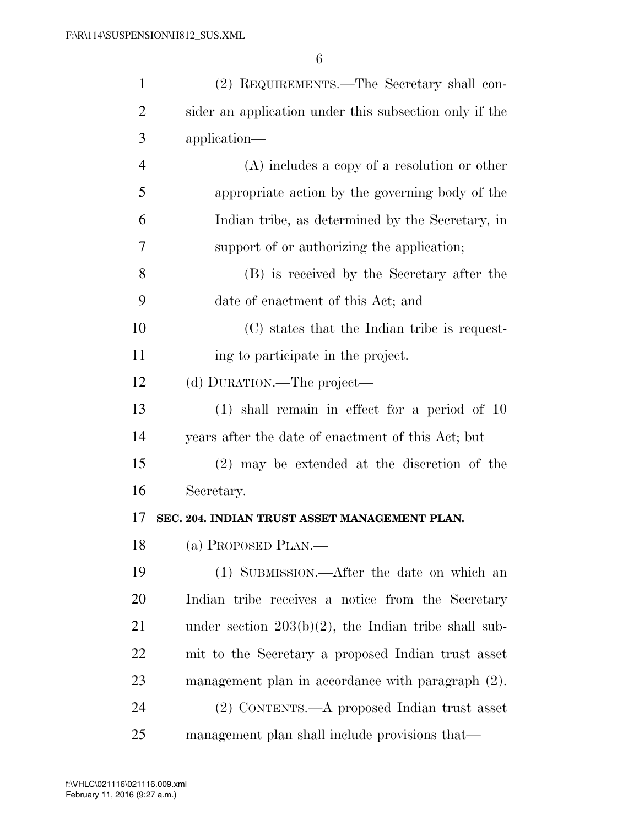| $\mathbf{1}$   | (2) REQUIREMENTS.—The Secretary shall con-              |
|----------------|---------------------------------------------------------|
| $\overline{2}$ | sider an application under this subsection only if the  |
| 3              | application—                                            |
| $\overline{4}$ | $(A)$ includes a copy of a resolution or other          |
| 5              | appropriate action by the governing body of the         |
| 6              | Indian tribe, as determined by the Secretary, in        |
| 7              | support of or authorizing the application;              |
| 8              | (B) is received by the Secretary after the              |
| 9              | date of enactment of this Act; and                      |
| 10             | (C) states that the Indian tribe is request-            |
| 11             | ing to participate in the project.                      |
| 12             | (d) DURATION.—The project—                              |
| 13             | $(1)$ shall remain in effect for a period of 10         |
| 14             | years after the date of enactment of this Act; but      |
| 15             | $(2)$ may be extended at the discretion of the          |
| 16             | Secretary.                                              |
| 17             | SEC. 204. INDIAN TRUST ASSET MANAGEMENT PLAN.           |
| 18             | (a) PROPOSED PLAN.—                                     |
| 19             | (1) SUBMISSION.—After the date on which an              |
| 20             | Indian tribe receives a notice from the Secretary       |
| 21             | under section $203(b)(2)$ , the Indian tribe shall sub- |
| 22             | mit to the Secretary a proposed Indian trust asset      |
| 23             | management plan in accordance with paragraph (2).       |
| 24             | (2) CONTENTS.—A proposed Indian trust asset             |
| 25             | management plan shall include provisions that—          |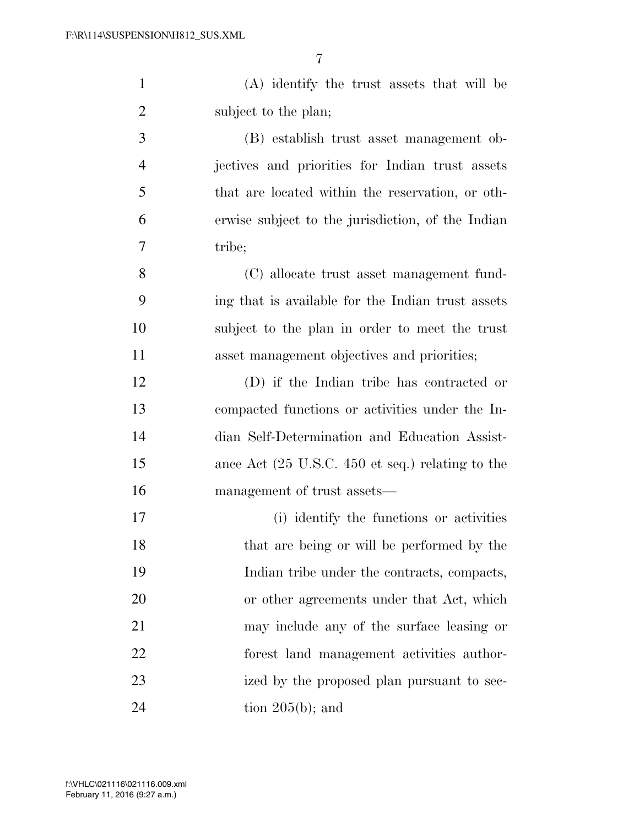(A) identify the trust assets that will be 2 subject to the plan;

 (B) establish trust asset management ob- jectives and priorities for Indian trust assets that are located within the reservation, or oth- erwise subject to the jurisdiction, of the Indian tribe;

 (C) allocate trust asset management fund- ing that is available for the Indian trust assets subject to the plan in order to meet the trust asset management objectives and priorities;

 (D) if the Indian tribe has contracted or compacted functions or activities under the In- dian Self-Determination and Education Assist- ance Act (25 U.S.C. 450 et seq.) relating to the management of trust assets—

 (i) identify the functions or activities that are being or will be performed by the Indian tribe under the contracts, compacts, or other agreements under that Act, which may include any of the surface leasing or forest land management activities author- ized by the proposed plan pursuant to sec-tion  $205(b)$ ; and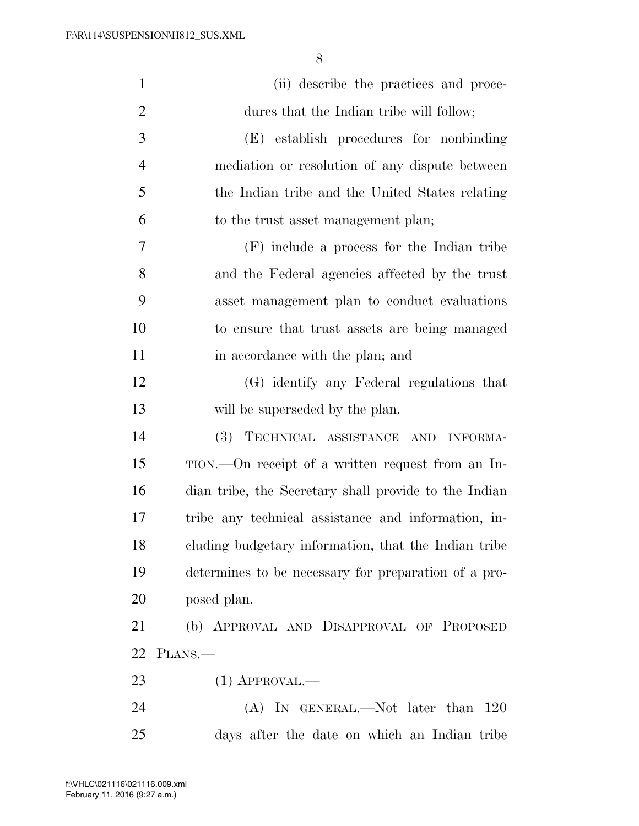| $\mathbf{1}$   | (ii) describe the practices and proce-                |
|----------------|-------------------------------------------------------|
| $\overline{c}$ | dures that the Indian tribe will follow;              |
| 3              | (E) establish procedures for nonbinding               |
| $\overline{4}$ | mediation or resolution of any dispute between        |
| 5              | the Indian tribe and the United States relating       |
| 6              | to the trust asset management plan;                   |
| 7              | (F) include a process for the Indian tribe            |
| 8              | and the Federal agencies affected by the trust        |
| 9              | asset management plan to conduct evaluations          |
| 10             | to ensure that trust assets are being managed         |
| 11             | in accordance with the plan; and                      |
| 12             | (G) identify any Federal regulations that             |
| 13             | will be superseded by the plan.                       |
| 14             | TECHNICAL ASSISTANCE AND INFORMA-<br><b>(3)</b>       |
| 15             | TION.—On receipt of a written request from an In-     |
| 16             | dian tribe, the Secretary shall provide to the Indian |
| 17             | tribe any technical assistance and information, in-   |
| 18             | cluding budgetary information, that the Indian tribe  |
| 19             | determines to be necessary for preparation of a pro-  |
| 20             | posed plan.                                           |
| 21             | (b) APPROVAL AND DISAPPROVAL OF PROPOSED              |
|                | 22 PLANS.—                                            |
| 23             | $(1)$ APPROVAL.—                                      |
| 24             | $(A)$ In GENERAL.—Not later than 120                  |
| 25             | days after the date on which an Indian tribe          |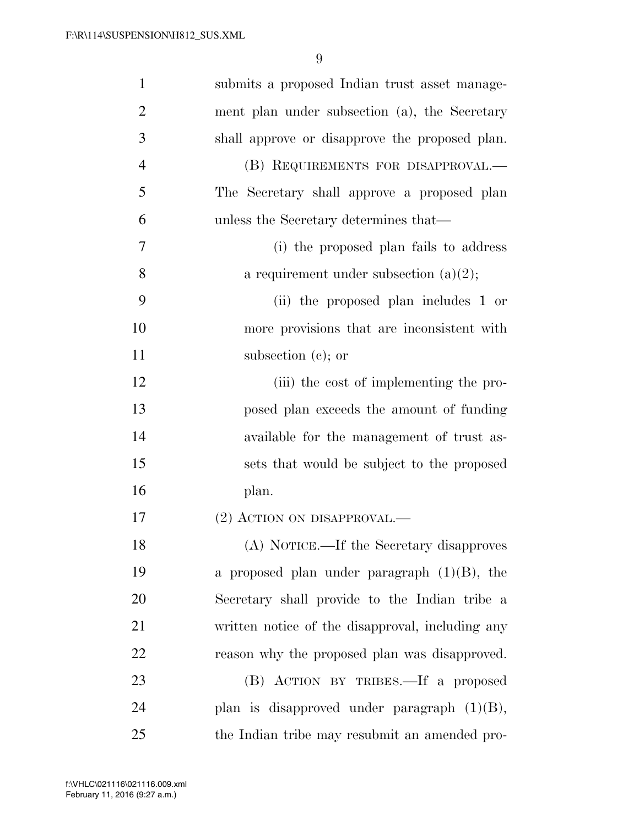| $\mathbf{1}$   | submits a proposed Indian trust asset manage-    |
|----------------|--------------------------------------------------|
| $\overline{2}$ | ment plan under subsection (a), the Secretary    |
| 3              | shall approve or disapprove the proposed plan.   |
| $\overline{4}$ | (B) REQUIREMENTS FOR DISAPPROVAL.—               |
| 5              | The Secretary shall approve a proposed plan      |
| 6              | unless the Secretary determines that—            |
| 7              | (i) the proposed plan fails to address           |
| 8              | a requirement under subsection $(a)(2)$ ;        |
| 9              | (ii) the proposed plan includes 1 or             |
| 10             | more provisions that are inconsistent with       |
| 11             | subsection $(c)$ ; or                            |
| 12             | (iii) the cost of implementing the pro-          |
| 13             | posed plan exceeds the amount of funding         |
| 14             | available for the management of trust as-        |
| 15             | sets that would be subject to the proposed       |
| 16             | plan.                                            |
| 17             | (2) ACTION ON DISAPPROVAL.—                      |
| 18             | (A) NOTICE.—If the Secretary disapproves         |
| 19             | a proposed plan under paragraph $(1)(B)$ , the   |
| 20             | Secretary shall provide to the Indian tribe a    |
| 21             | written notice of the disapproval, including any |
| 22             | reason why the proposed plan was disapproved.    |
| 23             | (B) ACTION BY TRIBES.—If a proposed              |
| 24             | plan is disapproved under paragraph $(1)(B)$ ,   |
| 25             | the Indian tribe may resubmit an amended pro-    |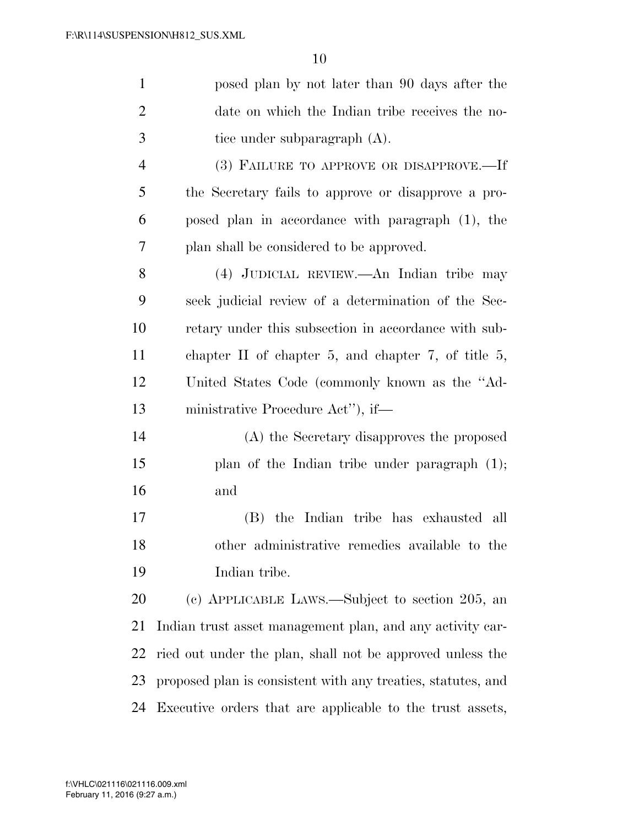| $\mathbf{1}$   | posed plan by not later than 90 days after the               |
|----------------|--------------------------------------------------------------|
| $\overline{2}$ | date on which the Indian tribe receives the no-              |
| 3              | tice under subparagraph $(A)$ .                              |
| $\overline{4}$ | (3) FAILURE TO APPROVE OR DISAPPROVE.-If                     |
| 5              | the Secretary fails to approve or disapprove a pro-          |
| 6              | posed plan in accordance with paragraph (1), the             |
| 7              | plan shall be considered to be approved.                     |
| 8              | (4) JUDICIAL REVIEW.—An Indian tribe may                     |
| 9              | seek judicial review of a determination of the Sec-          |
| 10             | retary under this subsection in accordance with sub-         |
| 11             | chapter II of chapter 5, and chapter 7, of title 5,          |
| 12             | United States Code (commonly known as the "Ad-               |
| 13             | ministrative Procedure Act"), if—                            |
| 14             | (A) the Secretary disapproves the proposed                   |
| 15             | plan of the Indian tribe under paragraph $(1)$ ;             |
| 16             | and                                                          |
| 17             | (B) the Indian tribe has exhausted all                       |
| 18             | other administrative remedies available to the               |
| 19             | Indian tribe.                                                |
| 20             | (c) APPLICABLE LAWS.—Subject to section 205, an              |
| 21             | Indian trust asset management plan, and any activity car-    |
| 22             | ried out under the plan, shall not be approved unless the    |
| 23             | proposed plan is consistent with any treaties, statutes, and |
| 24             | Executive orders that are applicable to the trust assets,    |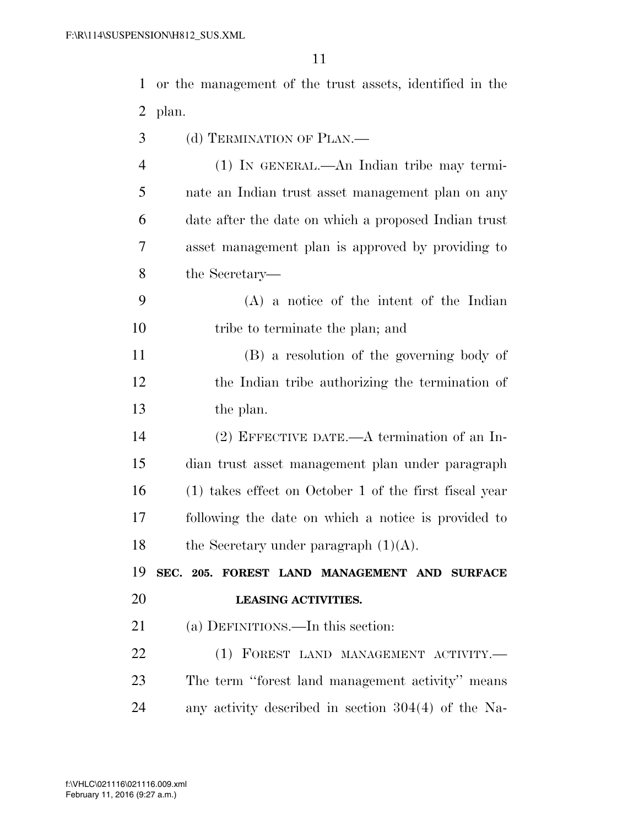or the management of the trust assets, identified in the plan.

- (d) TERMINATION OF PLAN.—
- (1) IN GENERAL.—An Indian tribe may termi- nate an Indian trust asset management plan on any date after the date on which a proposed Indian trust asset management plan is approved by providing to the Secretary—
- (A) a notice of the intent of the Indian 10 tribe to terminate the plan; and

 (B) a resolution of the governing body of the Indian tribe authorizing the termination of the plan.

 (2) EFFECTIVE DATE.—A termination of an In- dian trust asset management plan under paragraph (1) takes effect on October 1 of the first fiscal year following the date on which a notice is provided to 18 the Secretary under paragraph  $(1)(A)$ .

 **SEC. 205. FOREST LAND MANAGEMENT AND SURFACE LEASING ACTIVITIES.** 

(a) DEFINITIONS.—In this section:

22 (1) FOREST LAND MANAGEMENT ACTIVITY.— The term ''forest land management activity'' means any activity described in section 304(4) of the Na-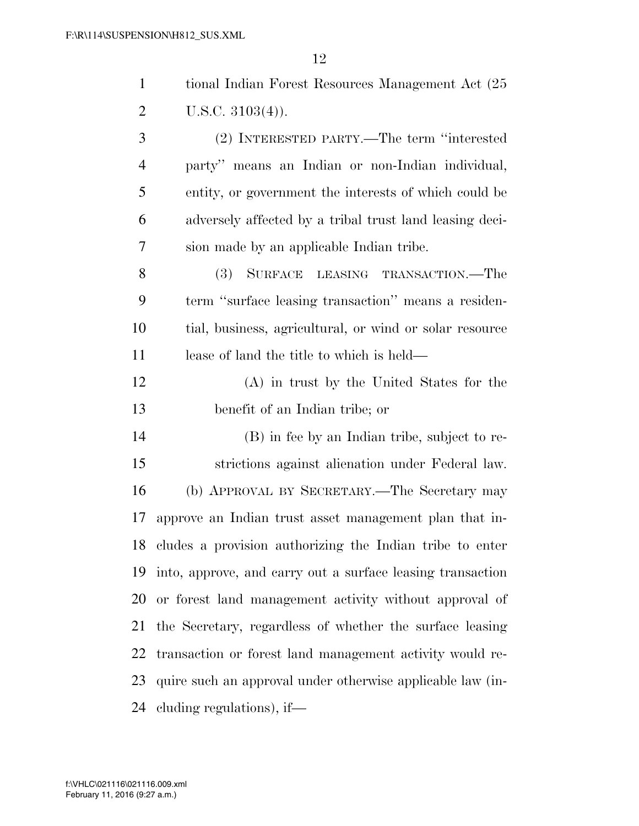| $\mathbf{1}$   | tional Indian Forest Resources Management Act (25)         |
|----------------|------------------------------------------------------------|
| $\overline{2}$ | U.S.C. $3103(4)$ ).                                        |
| 3              | (2) INTERESTED PARTY.—The term "interested                 |
| $\overline{4}$ | party" means an Indian or non-Indian individual,           |
| 5              | entity, or government the interests of which could be      |
| 6              | adversely affected by a tribal trust land leasing deci-    |
| 7              | sion made by an applicable Indian tribe.                   |
| 8              | SURFACE LEASING TRANSACTION.—The<br><b>(3)</b>             |
| 9              | term "surface leasing transaction" means a residen-        |
| 10             | tial, business, agricultural, or wind or solar resource    |
| 11             | lease of land the title to which is held—                  |
| 12             | (A) in trust by the United States for the                  |
| 13             | benefit of an Indian tribe; or                             |
| 14             | (B) in fee by an Indian tribe, subject to re-              |
| 15             | strictions against alienation under Federal law.           |
| 16             | (b) APPROVAL BY SECRETARY.—The Secretary may               |
| 17             | approve an Indian trust asset management plan that in-     |
| 18             | cludes a provision authorizing the Indian tribe to enter   |
| 19             | into, approve, and carry out a surface leasing transaction |
| 20             | or forest land management activity without approval of     |
| 21             | the Secretary, regardless of whether the surface leasing   |
| 22             | transaction or forest land management activity would re-   |
| 23             | quire such an approval under otherwise applicable law (in- |
|                |                                                            |

cluding regulations), if—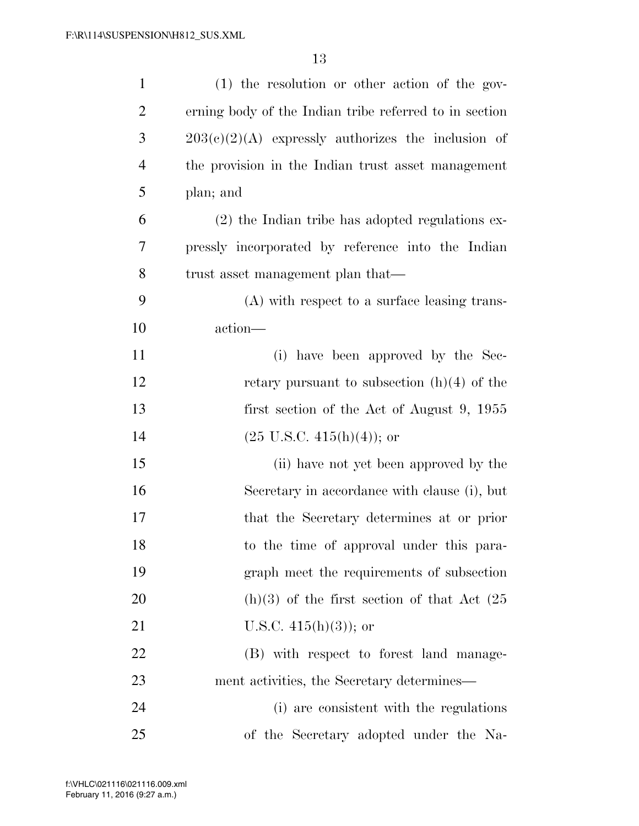| $\mathbf{1}$   | (1) the resolution or other action of the gov-         |
|----------------|--------------------------------------------------------|
| $\overline{2}$ | erning body of the Indian tribe referred to in section |
| 3              | $203(c)(2)(A)$ expressly authorizes the inclusion of   |
| $\overline{4}$ | the provision in the Indian trust asset management     |
| 5              | plan; and                                              |
| 6              | $(2)$ the Indian tribe has adopted regulations ex-     |
| 7              | pressly incorporated by reference into the Indian      |
| 8              | trust asset management plan that—                      |
| 9              | (A) with respect to a surface leasing trans-           |
| 10             | action—                                                |
| 11             | (i) have been approved by the Sec-                     |
| 12             | retary pursuant to subsection $(h)(4)$ of the          |
| 13             | first section of the Act of August 9, 1955             |
| 14             | $(25 \text{ U.S.C. } 415(h)(4));$ or                   |
| 15             | (ii) have not yet been approved by the                 |
| 16             | Secretary in accordance with clause (i), but           |
| 17             | that the Secretary determines at or prior              |
| 18             | to the time of approval under this para-               |
| 19             | graph meet the requirements of subsection              |
| 20             | $(h)(3)$ of the first section of that Act $(25)$       |
| 21             | U.S.C. $415(h)(3)$ ; or                                |
| 22             | (B) with respect to forest land manage-                |
| 23             | ment activities, the Secretary determines—             |
| 24             | (i) are consistent with the regulations                |
| 25             | of the Secretary adopted under the Na-                 |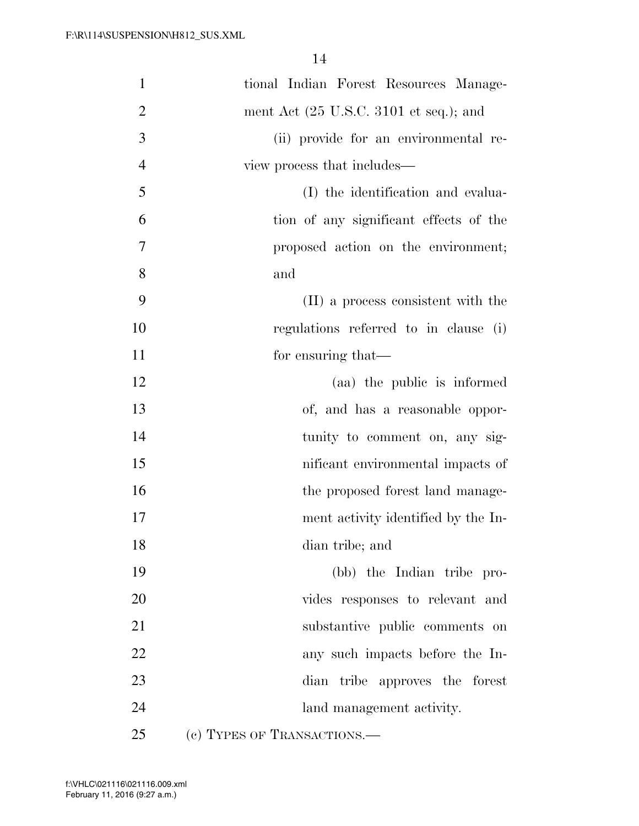| $\mathbf{1}$   | tional Indian Forest Resources Manage-                    |
|----------------|-----------------------------------------------------------|
| $\overline{2}$ | ment Act $(25 \text{ U.S.C. } 3101 \text{ et seq.});$ and |
| 3              | (ii) provide for an environmental re-                     |
| $\overline{4}$ | view process that includes—                               |
| 5              | (I) the identification and evalua-                        |
| 6              | tion of any significant effects of the                    |
| $\overline{7}$ | proposed action on the environment;                       |
| 8              | and                                                       |
| 9              | (II) a process consistent with the                        |
| 10             | regulations referred to in clause (i)                     |
| 11             | for ensuring that—                                        |
| 12             | (aa) the public is informed                               |
| 13             | of, and has a reasonable oppor-                           |
| 14             | tunity to comment on, any sig-                            |
| 15             | nificant environmental impacts of                         |
| 16             | the proposed forest land manage-                          |
| 17             | ment activity identified by the In-                       |
| 18             | dian tribe; and                                           |
| 19             | (bb) the Indian tribe pro-                                |
| 20             | vides responses to relevant and                           |
| 21             | substantive public comments on                            |
| 22             | any such impacts before the In-                           |
| 23             | dian tribe approves the forest                            |
| 24             | land management activity.                                 |
| 25             | (c) TYPES OF TRANSACTIONS.—                               |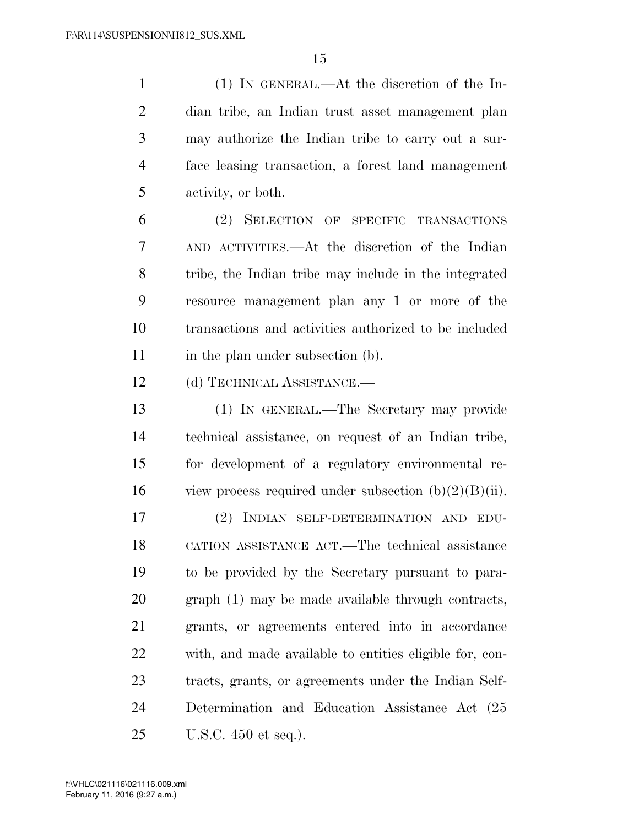(1) IN GENERAL.—At the discretion of the In- dian tribe, an Indian trust asset management plan may authorize the Indian tribe to carry out a sur- face leasing transaction, a forest land management activity, or both.

 (2) SELECTION OF SPECIFIC TRANSACTIONS AND ACTIVITIES.—At the discretion of the Indian tribe, the Indian tribe may include in the integrated resource management plan any 1 or more of the transactions and activities authorized to be included 11 in the plan under subsection (b).

(d) TECHNICAL ASSISTANCE.—

 (1) IN GENERAL.—The Secretary may provide technical assistance, on request of an Indian tribe, for development of a regulatory environmental re-16 view process required under subsection  $(b)(2)(B)(ii)$ .

 (2) INDIAN SELF-DETERMINATION AND EDU- CATION ASSISTANCE ACT.—The technical assistance to be provided by the Secretary pursuant to para- graph (1) may be made available through contracts, grants, or agreements entered into in accordance with, and made available to entities eligible for, con- tracts, grants, or agreements under the Indian Self- Determination and Education Assistance Act (25 U.S.C. 450 et seq.).

February 11, 2016 (9:27 a.m.) f:\VHLC\021116\021116.009.xml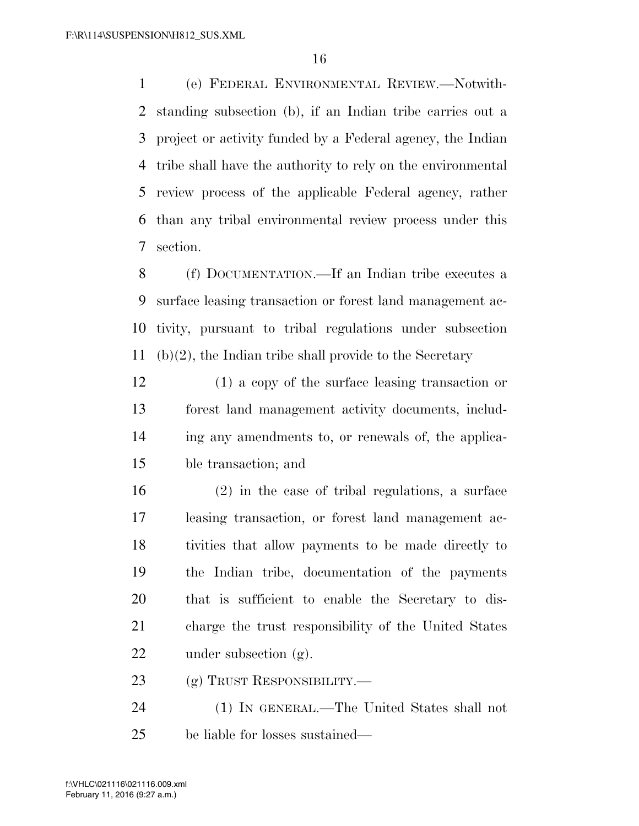(e) FEDERAL ENVIRONMENTAL REVIEW.—Notwith- standing subsection (b), if an Indian tribe carries out a project or activity funded by a Federal agency, the Indian tribe shall have the authority to rely on the environmental review process of the applicable Federal agency, rather than any tribal environmental review process under this section.

 (f) DOCUMENTATION.—If an Indian tribe executes a surface leasing transaction or forest land management ac- tivity, pursuant to tribal regulations under subsection (b)(2), the Indian tribe shall provide to the Secretary

 (1) a copy of the surface leasing transaction or forest land management activity documents, includ- ing any amendments to, or renewals of, the applica-ble transaction; and

 (2) in the case of tribal regulations, a surface leasing transaction, or forest land management ac- tivities that allow payments to be made directly to the Indian tribe, documentation of the payments that is sufficient to enable the Secretary to dis- charge the trust responsibility of the United States under subsection (g).

23 (g) TRUST RESPONSIBILITY.—

 (1) IN GENERAL.—The United States shall not be liable for losses sustained—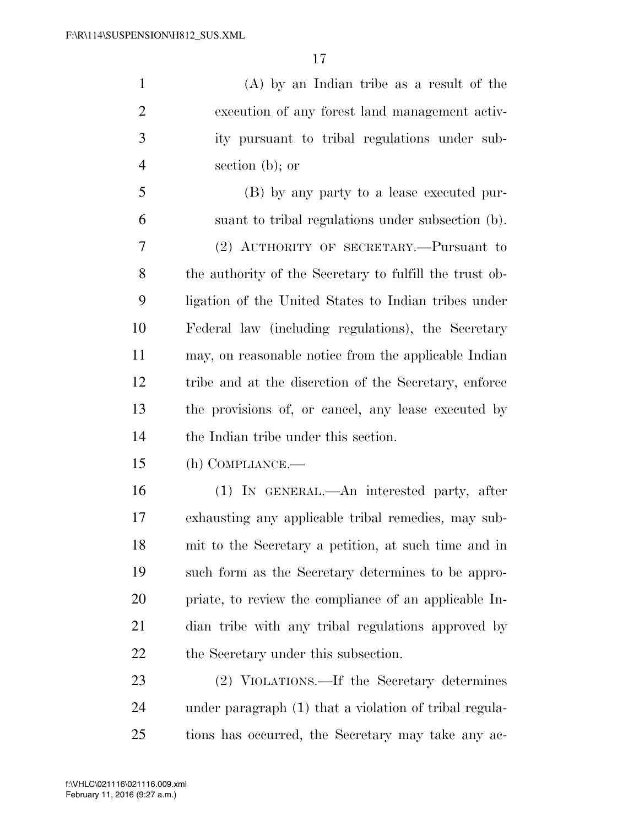(A) by an Indian tribe as a result of the execution of any forest land management activ- ity pursuant to tribal regulations under sub-section (b); or

 (B) by any party to a lease executed pur- suant to tribal regulations under subsection (b). (2) AUTHORITY OF SECRETARY.—Pursuant to the authority of the Secretary to fulfill the trust ob- ligation of the United States to Indian tribes under Federal law (including regulations), the Secretary may, on reasonable notice from the applicable Indian tribe and at the discretion of the Secretary, enforce the provisions of, or cancel, any lease executed by the Indian tribe under this section.

(h) COMPLIANCE.—

 (1) IN GENERAL.—An interested party, after exhausting any applicable tribal remedies, may sub- mit to the Secretary a petition, at such time and in such form as the Secretary determines to be appro- priate, to review the compliance of an applicable In- dian tribe with any tribal regulations approved by 22 the Secretary under this subsection.

 (2) VIOLATIONS.—If the Secretary determines under paragraph (1) that a violation of tribal regula-tions has occurred, the Secretary may take any ac-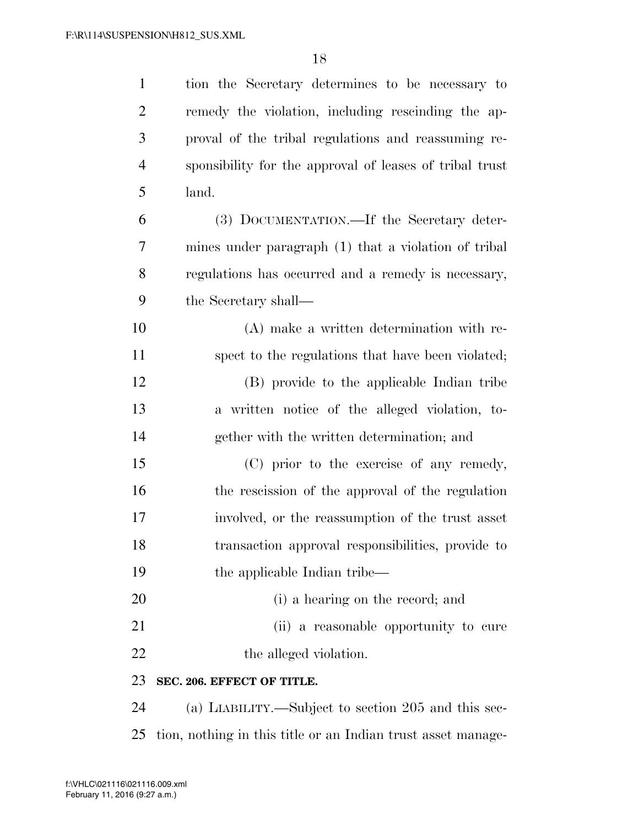| $\mathbf{1}$   | tion the Secretary determines to be necessary to        |
|----------------|---------------------------------------------------------|
| $\overline{2}$ | remedy the violation, including rescinding the ap-      |
| 3              | proval of the tribal regulations and reassuming re-     |
| $\overline{4}$ | sponsibility for the approval of leases of tribal trust |
| 5              | land.                                                   |
| 6              | (3) DOCUMENTATION.—If the Secretary deter-              |
| 7              | mines under paragraph (1) that a violation of tribal    |
| 8              | regulations has occurred and a remedy is necessary,     |
| 9              | the Secretary shall—                                    |
| 10             | (A) make a written determination with re-               |
| 11             | spect to the regulations that have been violated;       |
| 12             | (B) provide to the applicable Indian tribe              |
| 13             | a written notice of the alleged violation, to-          |
| 14             | gether with the written determination; and              |
| 15             | (C) prior to the exercise of any remedy,                |
| 16             | the rescission of the approval of the regulation        |
| 17             | involved, or the reassumption of the trust asset        |
| 18             | transaction approval responsibilities, provide to       |
| 19             | the applicable Indian tribe—                            |
| 20             | (i) a hearing on the record; and                        |
| 21             | (ii) a reasonable opportunity to cure                   |
| 22             | the alleged violation.                                  |
| 23             | SEC. 206. EFFECT OF TITLE.                              |
| 24             | (a) LIABILITY.—Subject to section 205 and this sec-     |

tion, nothing in this title or an Indian trust asset manage-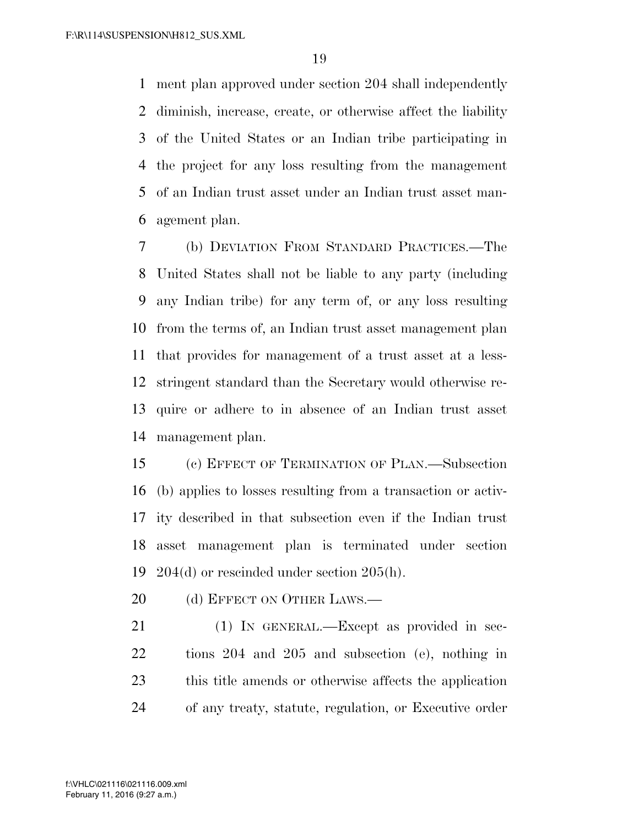ment plan approved under section 204 shall independently diminish, increase, create, or otherwise affect the liability of the United States or an Indian tribe participating in the project for any loss resulting from the management of an Indian trust asset under an Indian trust asset man-agement plan.

 (b) DEVIATION FROM STANDARD PRACTICES.—The United States shall not be liable to any party (including any Indian tribe) for any term of, or any loss resulting from the terms of, an Indian trust asset management plan that provides for management of a trust asset at a less- stringent standard than the Secretary would otherwise re- quire or adhere to in absence of an Indian trust asset management plan.

 (c) EFFECT OF TERMINATION OF PLAN.—Subsection (b) applies to losses resulting from a transaction or activ- ity described in that subsection even if the Indian trust asset management plan is terminated under section 204(d) or rescinded under section 205(h).

20 (d) EFFECT ON OTHER LAWS.—

21 (1) IN GENERAL.—Except as provided in sec- tions 204 and 205 and subsection (e), nothing in this title amends or otherwise affects the application of any treaty, statute, regulation, or Executive order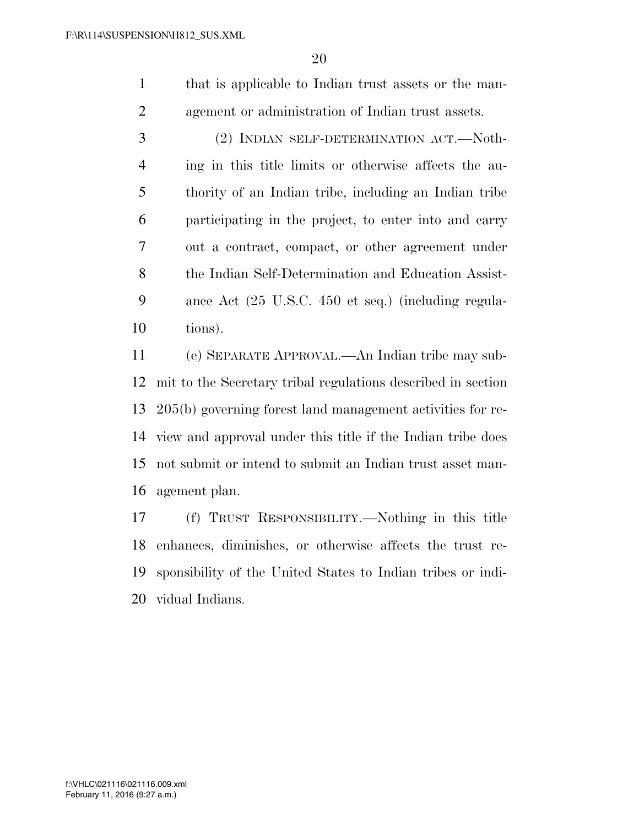that is applicable to Indian trust assets or the man-agement or administration of Indian trust assets.

 (2) INDIAN SELF-DETERMINATION ACT.—Noth- ing in this title limits or otherwise affects the au- thority of an Indian tribe, including an Indian tribe participating in the project, to enter into and carry out a contract, compact, or other agreement under the Indian Self-Determination and Education Assist- ance Act (25 U.S.C. 450 et seq.) (including regula-tions).

 (e) SEPARATE APPROVAL.—An Indian tribe may sub- mit to the Secretary tribal regulations described in section 205(b) governing forest land management activities for re- view and approval under this title if the Indian tribe does not submit or intend to submit an Indian trust asset man-agement plan.

 (f) TRUST RESPONSIBILITY.—Nothing in this title enhances, diminishes, or otherwise affects the trust re- sponsibility of the United States to Indian tribes or indi-vidual Indians.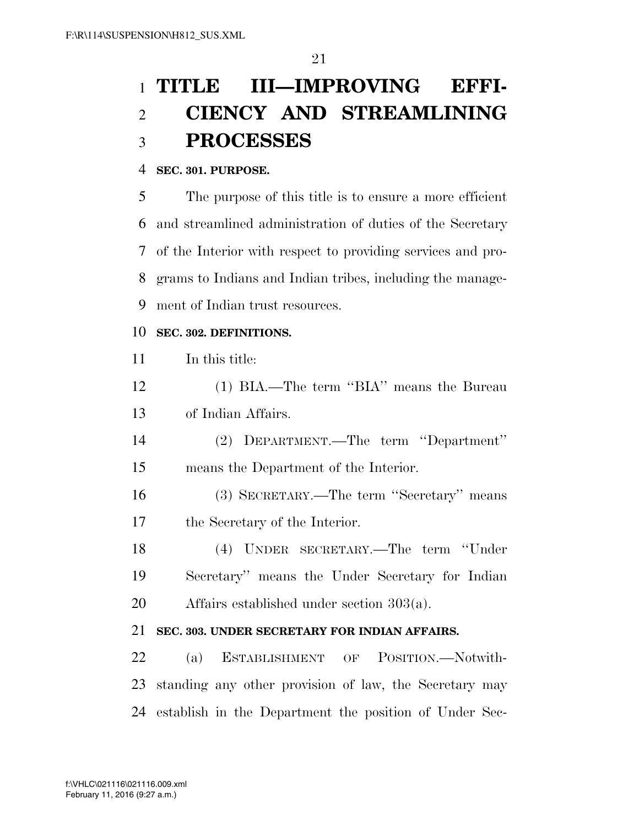# **TITLE III—IMPROVING EFFI- CIENCY AND STREAMLINING PROCESSES**

# **SEC. 301. PURPOSE.**

 The purpose of this title is to ensure a more efficient and streamlined administration of duties of the Secretary of the Interior with respect to providing services and pro- grams to Indians and Indian tribes, including the manage-ment of Indian trust resources.

# **SEC. 302. DEFINITIONS.**

| 11 | In this title:                                            |
|----|-----------------------------------------------------------|
| 12 | (1) BIA.—The term "BIA" means the Bureau                  |
| 13 | of Indian Affairs.                                        |
| 14 | (2) DEPARTMENT.—The term "Department"                     |
| 15 | means the Department of the Interior.                     |
| 16 | (3) SECRETARY.—The term "Secretary" means                 |
| 17 | the Secretary of the Interior.                            |
| 18 | (4) UNDER SECRETARY.—The term "Under                      |
| 19 | Secretary" means the Under Secretary for Indian           |
| 20 | Affairs established under section $303(a)$ .              |
| 21 | SEC. 303. UNDER SECRETARY FOR INDIAN AFFAIRS.             |
| 22 | (a) ESTABLISHMENT OF POSITION.—Notwith-                   |
| 23 | standing any other provision of law, the Secretary may    |
|    | 24 establish in the Department the position of Under Sec- |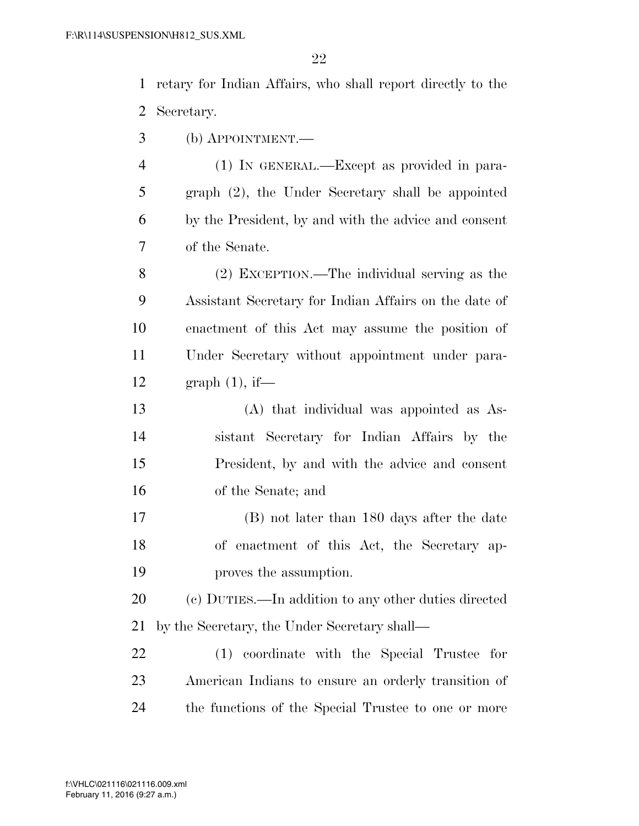retary for Indian Affairs, who shall report directly to the Secretary.

(b) APPOINTMENT.—

 (1) IN GENERAL.—Except as provided in para- graph (2), the Under Secretary shall be appointed by the President, by and with the advice and consent of the Senate.

 (2) EXCEPTION.—The individual serving as the Assistant Secretary for Indian Affairs on the date of enactment of this Act may assume the position of Under Secretary without appointment under para-graph (1), if—

 (A) that individual was appointed as As- sistant Secretary for Indian Affairs by the President, by and with the advice and consent of the Senate; and

 (B) not later than 180 days after the date of enactment of this Act, the Secretary ap-proves the assumption.

 (c) DUTIES.—In addition to any other duties directed by the Secretary, the Under Secretary shall—

 (1) coordinate with the Special Trustee for American Indians to ensure an orderly transition of the functions of the Special Trustee to one or more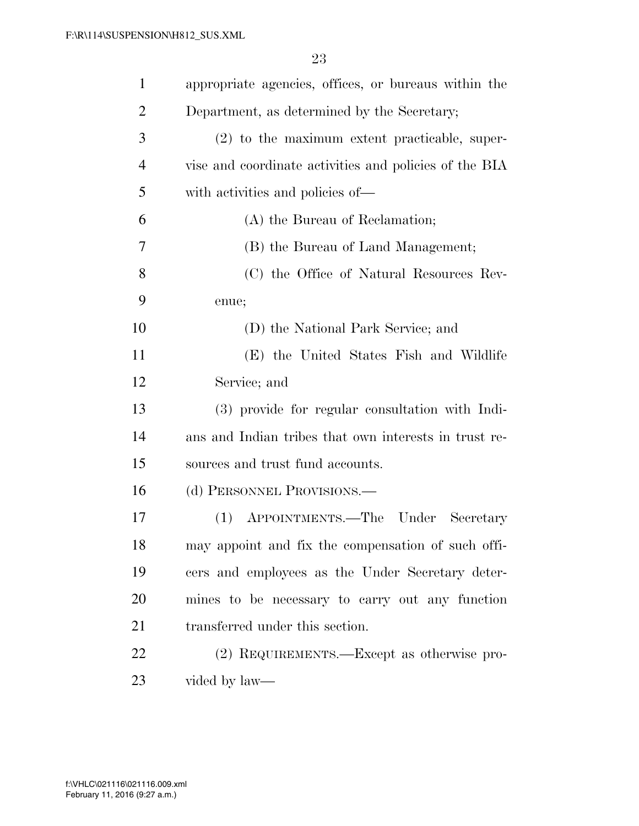| $\mathbf{1}$   | appropriate agencies, offices, or bureaus within the   |
|----------------|--------------------------------------------------------|
| $\overline{2}$ | Department, as determined by the Secretary;            |
| 3              | $(2)$ to the maximum extent practicable, super-        |
| $\overline{4}$ | vise and coordinate activities and policies of the BIA |
| 5              | with activities and policies of—                       |
| 6              | (A) the Bureau of Reclamation;                         |
| 7              | (B) the Bureau of Land Management;                     |
| 8              | (C) the Office of Natural Resources Rev-               |
| 9              | enue;                                                  |
| 10             | (D) the National Park Service; and                     |
| 11             | (E) the United States Fish and Wildlife                |
| 12             | Service; and                                           |
| 13             | (3) provide for regular consultation with Indi-        |
| 14             | ans and Indian tribes that own interests in trust re-  |
| 15             | sources and trust fund accounts.                       |
| 16             | (d) PERSONNEL PROVISIONS.—                             |
| 17             | APPOINTMENTS.—The Under Secretary<br>(1)               |
| 18             | may appoint and fix the compensation of such offi-     |
| 19             | cers and employees as the Under Secretary deter-       |
| 20             | mines to be necessary to carry out any function        |
| 21             | transferred under this section.                        |
| 22             | (2) REQUIREMENTS.—Except as otherwise pro-             |
| 23             | vided by law—                                          |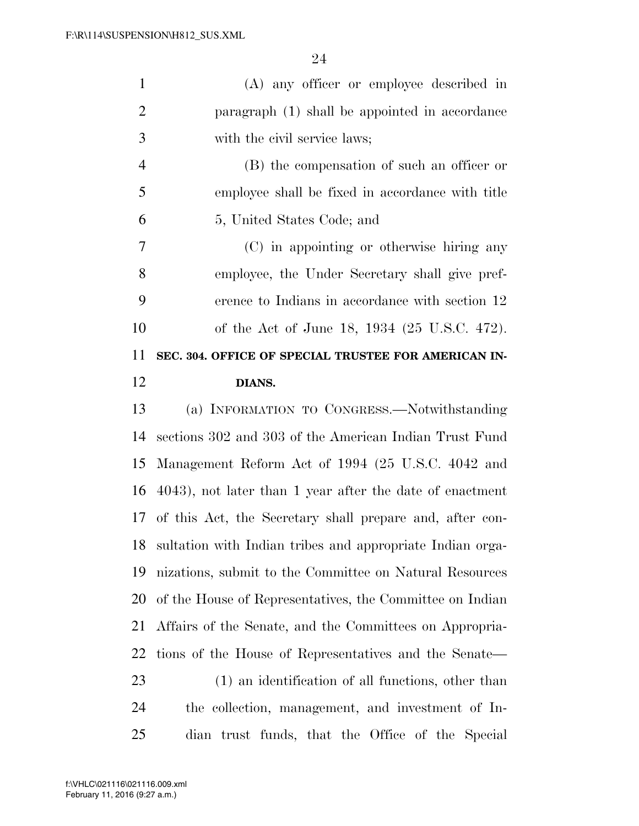| $\mathbf{1}$   | (A) any officer or employee described in                    |
|----------------|-------------------------------------------------------------|
| $\overline{2}$ | paragraph (1) shall be appointed in accordance              |
| 3              | with the civil service laws;                                |
| $\overline{4}$ | (B) the compensation of such an officer or                  |
| 5              | employee shall be fixed in accordance with title            |
| 6              | 5, United States Code; and                                  |
| $\overline{7}$ | (C) in appointing or otherwise hiring any                   |
| 8              | employee, the Under Secretary shall give pref-              |
| 9              | erence to Indians in accordance with section 12             |
| 10             | of the Act of June 18, 1934 (25 U.S.C. 472).                |
| 11             | SEC. 304. OFFICE OF SPECIAL TRUSTEE FOR AMERICAN IN-        |
| 12             | DIANS.                                                      |
| 13             | (a) INFORMATION TO CONGRESS.—Notwithstanding                |
| 14             | sections 302 and 303 of the American Indian Trust Fund      |
| 15             | Management Reform Act of 1994 (25 U.S.C. 4042 and           |
|                | 16 4043), not later than 1 year after the date of enactment |
|                |                                                             |

of this Act, the Secretary shall prepare and, after con-

sultation with Indian tribes and appropriate Indian orga-

nizations, submit to the Committee on Natural Resources

of the House of Representatives, the Committee on Indian

Affairs of the Senate, and the Committees on Appropria-

tions of the House of Representatives and the Senate—

(1) an identification of all functions, other than

the collection, management, and investment of In-

dian trust funds, that the Office of the Special

February 11, 2016 (9:27 a.m.) f:\VHLC\021116\021116.009.xml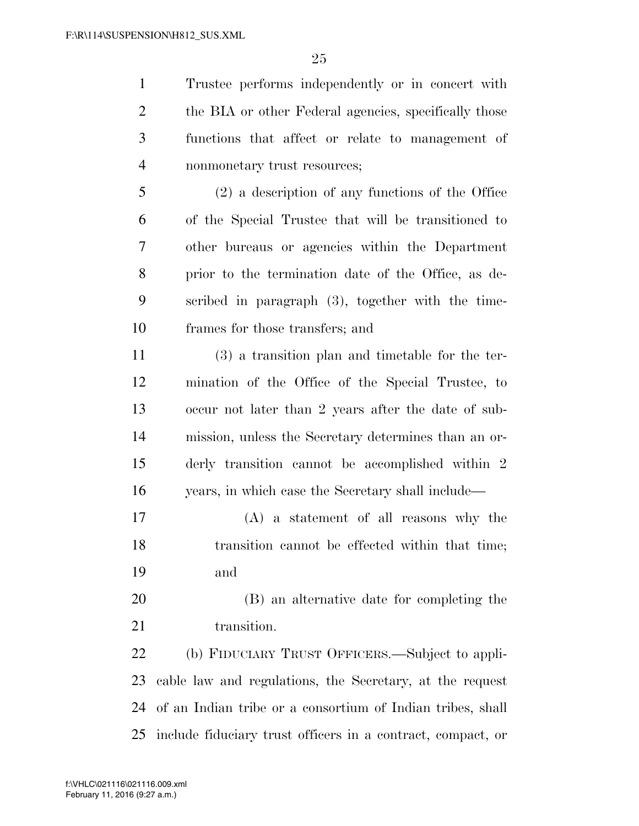Trustee performs independently or in concert with 2 the BIA or other Federal agencies, specifically those functions that affect or relate to management of nonmonetary trust resources;

 (2) a description of any functions of the Office of the Special Trustee that will be transitioned to other bureaus or agencies within the Department prior to the termination date of the Office, as de- scribed in paragraph (3), together with the time-frames for those transfers; and

 (3) a transition plan and timetable for the ter- mination of the Office of the Special Trustee, to occur not later than 2 years after the date of sub- mission, unless the Secretary determines than an or- derly transition cannot be accomplished within 2 years, in which case the Secretary shall include—

- (A) a statement of all reasons why the transition cannot be effected within that time; and
- (B) an alternative date for completing the 21 transition.

 (b) FIDUCIARY TRUST OFFICERS.—Subject to appli- cable law and regulations, the Secretary, at the request of an Indian tribe or a consortium of Indian tribes, shall include fiduciary trust officers in a contract, compact, or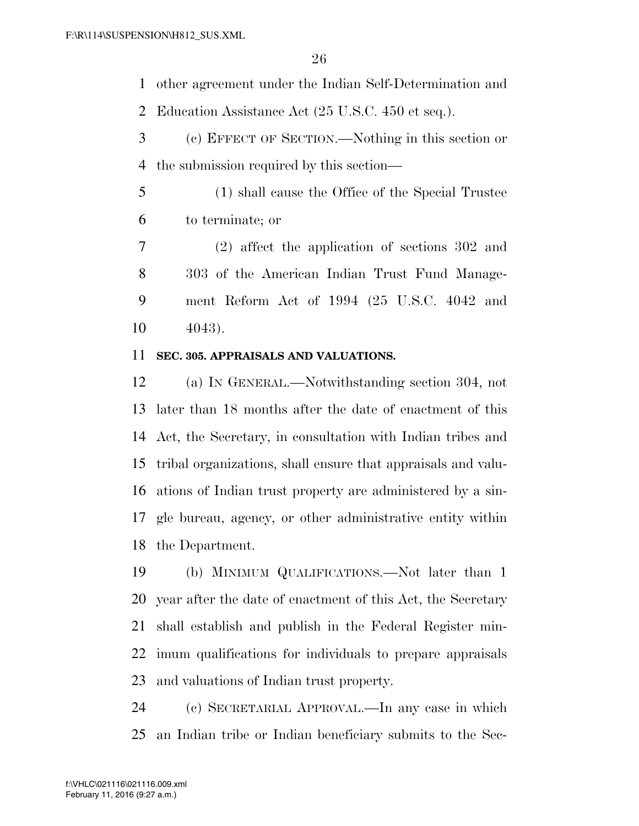other agreement under the Indian Self-Determination and

Education Assistance Act (25 U.S.C. 450 et seq.).

- (c) EFFECT OF SECTION.—Nothing in this section or the submission required by this section—
- (1) shall cause the Office of the Special Trustee to terminate; or
- (2) affect the application of sections 302 and 303 of the American Indian Trust Fund Manage- ment Reform Act of 1994 (25 U.S.C. 4042 and 4043).

### **SEC. 305. APPRAISALS AND VALUATIONS.**

 (a) IN GENERAL.—Notwithstanding section 304, not later than 18 months after the date of enactment of this Act, the Secretary, in consultation with Indian tribes and tribal organizations, shall ensure that appraisals and valu- ations of Indian trust property are administered by a sin- gle bureau, agency, or other administrative entity within the Department.

 (b) MINIMUM QUALIFICATIONS.—Not later than 1 year after the date of enactment of this Act, the Secretary shall establish and publish in the Federal Register min- imum qualifications for individuals to prepare appraisals and valuations of Indian trust property.

 (c) SECRETARIAL APPROVAL.—In any case in which an Indian tribe or Indian beneficiary submits to the Sec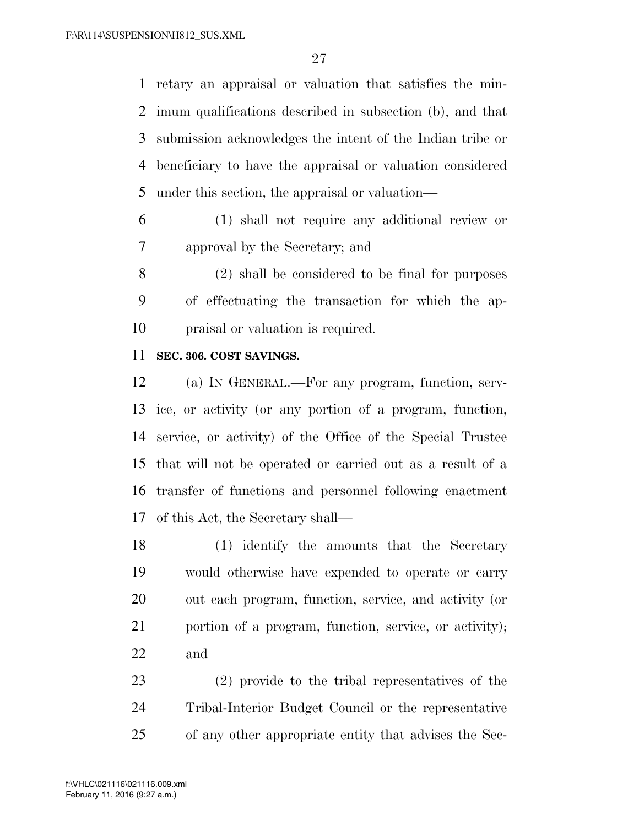retary an appraisal or valuation that satisfies the min- imum qualifications described in subsection (b), and that submission acknowledges the intent of the Indian tribe or beneficiary to have the appraisal or valuation considered under this section, the appraisal or valuation—

 (1) shall not require any additional review or approval by the Secretary; and

 (2) shall be considered to be final for purposes of effectuating the transaction for which the ap-praisal or valuation is required.

### **SEC. 306. COST SAVINGS.**

 (a) IN GENERAL.—For any program, function, serv- ice, or activity (or any portion of a program, function, service, or activity) of the Office of the Special Trustee that will not be operated or carried out as a result of a transfer of functions and personnel following enactment of this Act, the Secretary shall—

 (1) identify the amounts that the Secretary would otherwise have expended to operate or carry out each program, function, service, and activity (or portion of a program, function, service, or activity); and

 (2) provide to the tribal representatives of the Tribal-Interior Budget Council or the representative of any other appropriate entity that advises the Sec-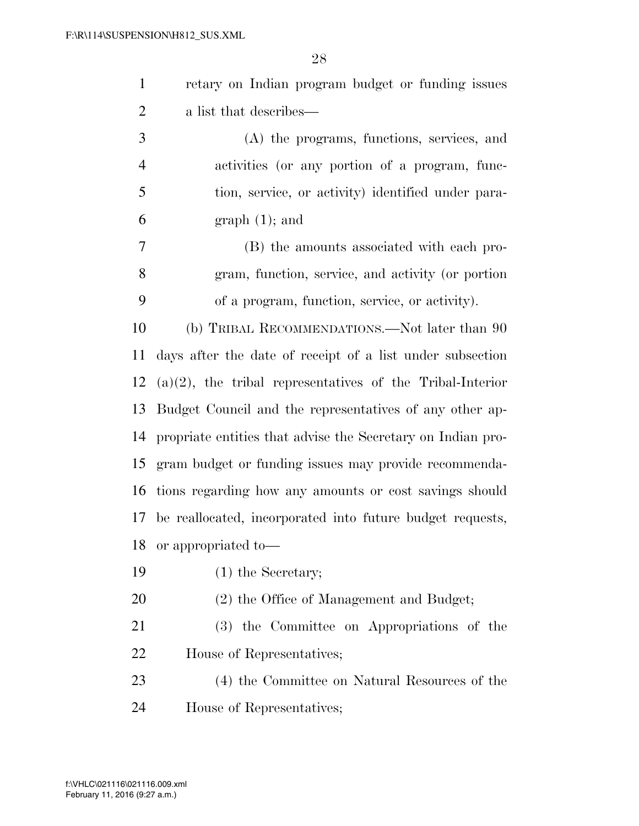| $\mathbf{1}$   | retary on Indian program budget or funding issues            |
|----------------|--------------------------------------------------------------|
| $\overline{2}$ | a list that describes—                                       |
| 3              | (A) the programs, functions, services, and                   |
| $\overline{4}$ | activities (or any portion of a program, func-               |
| 5              | tion, service, or activity) identified under para-           |
| 6              | $graph(1);$ and                                              |
| $\overline{7}$ | (B) the amounts associated with each pro-                    |
| 8              | gram, function, service, and activity (or portion            |
| 9              | of a program, function, service, or activity).               |
| 10             | (b) TRIBAL RECOMMENDATIONS.—Not later than 90                |
| 11             | days after the date of receipt of a list under subsection    |
| 12             | $(a)(2)$ , the tribal representatives of the Tribal-Interior |
| 13             | Budget Council and the representatives of any other ap-      |
| 14             | propriate entities that advise the Secretary on Indian pro-  |
| 15             | gram budget or funding issues may provide recommenda-        |
|                | 16 tions regarding how any amounts or cost savings should    |
|                | 17 be reallocated, incorporated into future budget requests, |
| 18             | or appropriated to—                                          |
| 19             | $(1)$ the Secretary;                                         |
| 20             | (2) the Office of Management and Budget;                     |
| 21             | (3) the Committee on Appropriations of the                   |
| 22             | House of Representatives;                                    |
| 23             | (4) the Committee on Natural Resources of the                |
| 24             | House of Representatives;                                    |